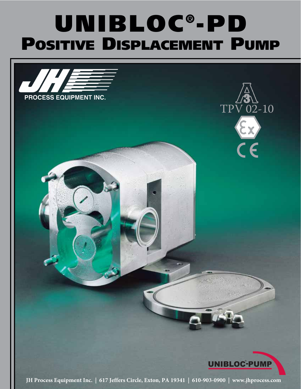# **UNIBLOC ®-PD POSITIVE DISPLACEMENT PUMP**

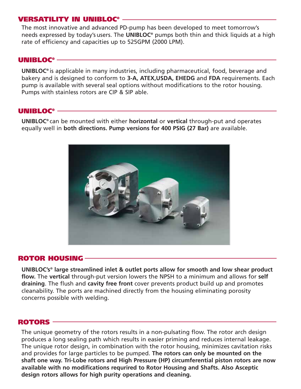# **VERSATILITY IN UNIBLOC®**

The most innovative and advanced PD-pump has been developed to meet tomorrow's needs expressed by today's users. The **UNIBLOC®** pumps both thin and thick liquids at a high rate of efficiency and capacities up to 525GPM (2000 LPM).

#### **UNIBLOC®**

**UNIBLOC®** is applicable in many industries, including pharmaceutical, food, beverage and bakery and is designed to conform to **3-A, ATEX,USDA, EHEDG** and **FDA** requirements. Each pump is available with several seal options without modifications to the rotor housing. Pumps with stainless rotors are CIP & SIP able.

## **UNIBLOC®**

**UNIBLOC®** can be mounted with either **horizontal** or **vertical** through-put and operates equally well in **both directions. Pump versions for 400 PSIG (27 Bar)** are available.



## **ROTOR HOUSING**

**UNIBLOC's® large streamlined inlet & outlet ports allow for smooth and low shear product flow.** The **vertical** through-put version lowers the NPSH to a minimum and allows for **self draining**. The flush and **cavity free front** cover prevents product build up and promotes cleanability. The ports are machined directly from the housing eliminating porosity concerns possible with welding.

#### **ROTORS**

The unique geometry of the rotors results in a non-pulsating flow. The rotor arch design produces a long sealing path which results in easier priming and reduces internal leakage. The unique rotor design, in combination with the rotor housing, minimizes cavitation risks and provides for large particles to be pumped. **The rotors can only be mounted on the shaft one way. Tri-Lobe rotors and High Pressure (HP) circumferential piston rotors are now available with no modifications requrired to Rotor Housing and Shafts. Also Asceptic design rotors allows for high purity operations and cleaning.**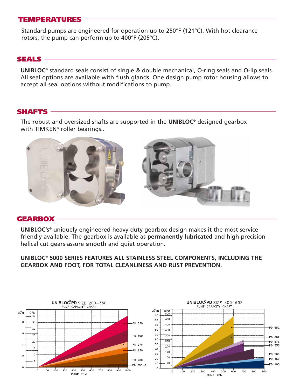# **TEMPERATURES**

Standard pumps are engineered for operation up to 250°F (121°C). With hot clearance rotors, the pump can perform up to 400°F (205°C).

## **SEALS**

**UNIBLOC®** standard seals consist of single & double mechanical, O-ring seals and O-lip seals. All seal options are available with flush glands. One design pump rotor housing allows to accept all seal options without modifications to pump.

#### **SHAFTS**

The robust and oversized shafts are supported in the **UNIBLOC®** designed gearbox with TIMKEN® roller bearings..



#### **GEARBOX**

**UNIBLOC's®** uniquely engineered heavy duty gearbox design makes it the most service friendly available. The gearbox is available as **permanently lubricated** and high precision helical cut gears assure smooth and quiet operation.

**UNIBLOC® 5000 SERIES FEATURES ALL STAINLESS STEEL COMPONENTS, INCLUDING THE GEARBOX AND FOOT, FOR TOTAL CLEANLINESS AND RUST PREVENTION.**

![](_page_2_Figure_10.jpeg)

![](_page_2_Figure_11.jpeg)